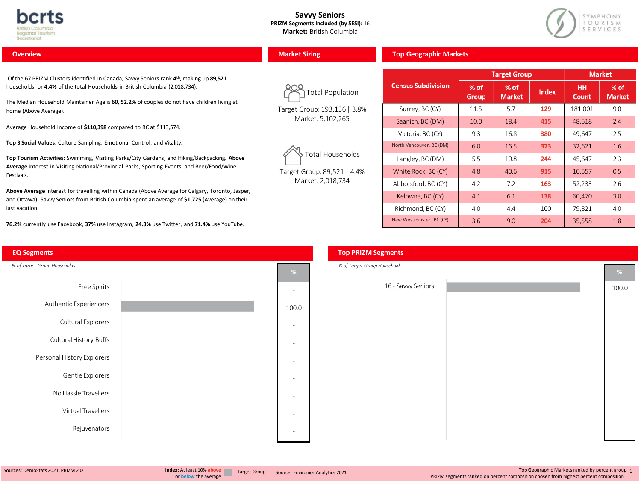

#### **Savvy Seniors PRIZM Segments Included (by SESI):** 16 **Market:** British Columbia



#### **Overview**

Of the 67 PRIZM Clusters identified in Canada, Savvy Seniors rank **4th**, making up **89,521** households, or **4.4%** of the total Households in British Columbia (2,018,734).

The Median Household Maintainer Age is **60**, **52.2%** of couples do not have children living at home (Above Average).

Average Household Income of **\$110,398** compared to BC at \$113,574.

**Top 3 Social Values**: Culture Sampling, Emotional Control, and Vitality.

**Top Tourism Activities**: Swimming, Visiting Parks/City Gardens, and Hiking/Backpacking. **Above Average** interest in Visiting National/Provincial Parks, Sporting Events, and Beer/Food/Wine Festivals.

**Above Average** interest for travelling within Canada (Above Average for Calgary, Toronto, Jasper, and Ottawa), Savvy Seniors from British Columbia spent an average of **\$1,725** (Average) on their last vacation.

**76.2%** currently use Facebook, **37%** use Instagram, **24.3%** use Twitter, and **71.4%** use YouTube.



|  | <b>Market Sizing</b> |  |  |
|--|----------------------|--|--|
|  |                      |  |  |

Total Population

Target Group: 193,136| 3.8% Market: 5,102,265



Target Group: 89,521 | 4.4% Market: 2,018,734

|                           |                 | Target Group            |       |                    | <b>Market</b>         |
|---------------------------|-----------------|-------------------------|-------|--------------------|-----------------------|
| <b>Census Subdivision</b> | $%$ of<br>Group | $%$ of<br><b>Market</b> | Index | HН<br><b>Count</b> | % of<br><b>Market</b> |
| Surrey, BC (CY)           | 11.5            | 5.7                     | 129   | 181,001            | 9.0                   |
| Saanich, BC (DM)          | 10.0            | 18.4                    | 415   | 48,518             | 2.4                   |
| Victoria, BC (CY)         | 9.3             | 16.8                    | 380   | 49.647             | 2.5                   |
| North Vancouver, BC (DM)  | 6.0             | 16.5                    | 373   | 32,621             | 1.6                   |
| Langley, BC (DM)          | 5.5             | 10.8                    | 244   | 45,647             | 2.3                   |
| White Rock, BC (CY)       | 4.8             | 40.6                    | 915   | 10,557             | 0.5                   |
| Abbotsford, BC (CY)       | 4.2             | 7.2                     | 163   | 52,233             | 2.6                   |
| Kelowna, BC (CY)          | 4.1             | 6.1                     | 138   | 60,470             | 3.0                   |
| Richmond, BC (CY)         | 4.0             | 4.4                     | 100   | 79,821             | 4.0                   |
| New Westminster, BC (CY)  | 3.6             | 9.0                     | 204   | 35,558             | 1.8                   |

**Top Geographic Markets**

# **%** 16 - Savvy Seniors<br>
100.0 100.0 100.0 100.0 100.0 100.0 100.0 100.0 100.0 100.0 100.0 100.0 100.0 100.0 100.0 100.0 100.0 100.0 1 *% of Target Group Households* **Top PRIZM Segments**

Sources: DemoStats 2021, PRIZM 2021

Top Geographic Markets ranked by percent group <sup>1</sup> PRIZM segmentsranked on percent composition chosen from highest percent composition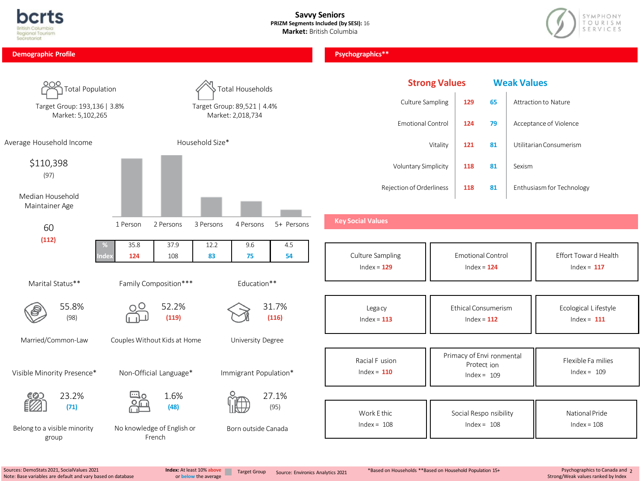



| <b>Demographic Profile</b>                                            |                                       |                                                                      | Psychographics**                                     |                      |                                                           |                    |                                                       |
|-----------------------------------------------------------------------|---------------------------------------|----------------------------------------------------------------------|------------------------------------------------------|----------------------|-----------------------------------------------------------|--------------------|-------------------------------------------------------|
| Total Population<br>Target Group: 193,136   3.8%<br>Market: 5,102,265 |                                       | Total Households<br>Target Group: 89,521   4.4%<br>Market: 2,018,734 | Culture Sampling<br><b>Emotional Control</b>         | <b>Strong Values</b> | 65<br>129<br>124<br>79                                    | <b>Weak Values</b> | <b>Attraction to Nature</b><br>Acceptance of Violence |
| Average Household Income                                              |                                       | Household Size*                                                      |                                                      | Vitality             | 121<br>81                                                 |                    | Utilitarian Consumerism                               |
| \$110,398<br>(97)                                                     |                                       |                                                                      | Voluntary Simplicity                                 |                      | 118<br>81                                                 | Sexism             |                                                       |
| Median Household<br>Maintainer Age<br>60<br>(112)                     | 2 Persons<br>1 Person<br>37.9<br>35.8 | 3 Persons<br>4 Persons<br>5+ Persons<br>12.2<br>9.6<br>4.5           | Rejection of Orderliness<br><b>Key Social Values</b> |                      | 118<br>81                                                 |                    | Enthusiasm for Technology                             |
|                                                                       | 108<br>124                            | 83<br>75<br>54                                                       | Culture Sampling<br>Index = $129$                    |                      | <b>Emotional Control</b><br>$Index = 124$                 |                    | Effort Towar d Health<br>Index = $117$                |
| Marital Status**                                                      | Family Composition***                 | Education**                                                          |                                                      |                      |                                                           |                    |                                                       |
| 55.8%<br>(98)                                                         | 52.2%<br>(119)                        | 31.7%<br>(116)                                                       | Legacy<br>Index = $113$                              |                      | Ethical Consumerism<br>$Index = 112$                      |                    | Ecological Lifestyle<br>$Index = 111$                 |
| Married/Common-Law                                                    | Couples Without Kids at Home          | University Degree                                                    |                                                      |                      |                                                           |                    |                                                       |
| Visible Minority Presence*                                            | Non-Official Language*                | Immigrant Population*                                                | Racial F usion<br>$Index = 110$                      |                      | Primacy of Envi ronmental<br>Protect ion<br>$Index = 109$ |                    | Flexible Fa milies<br>$Index = 109$                   |
| 23.2%<br>(71)                                                         | 1.6%<br>(48)                          | 27.1%<br>(95)                                                        | Work E thic<br>$Index = 108$                         |                      | Social Respo nsibility<br>$Index = 108$                   |                    | National Pride<br>$Index = 108$                       |
| Belong to a visible minority<br>group                                 | No knowledge of English or<br>French  | Born outside Canada                                                  |                                                      |                      |                                                           |                    |                                                       |

or **below** the average

Psychographics to Canada and <sup>2</sup> Strong/Weak values ranked by Index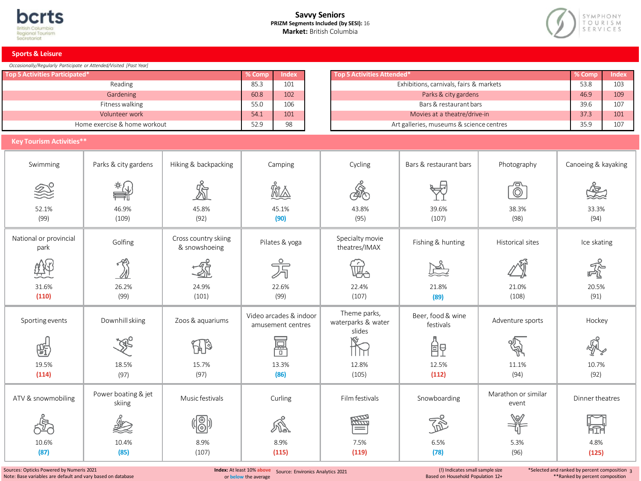#### **Savvy Seniors PRIZM Segments Included (by SESI):** 16 **Market:** British Columbia



**Sports & Leisure**

| Occasionally/Regularly Participate or Attended/Visited [Past Year] |  |  |
|--------------------------------------------------------------------|--|--|
|                                                                    |  |  |

| <b>Top 5 Activities Participated*</b> | $%$ Comp | <b>Index</b> | Top 5 Activities Attended*               | % Comp | / Index |
|---------------------------------------|----------|--------------|------------------------------------------|--------|---------|
| Reading                               | 85.3     | 101          | Exhibitions, carnivals, fairs & markets  | 53.8   | 103     |
| Gardening                             | 60.8     | 102          | Parks & city gardens                     | 46.9   | 109     |
| Fitness walking                       | 55.0     | 106          | Bars & restaurant bars                   | 39.6   | 107     |
| Volunteer work                        | 54.1     | 101          | Movies at a theatre/drive-in             | 37.3   | 101     |
| Home exercise & home workout          | 52.9     | 98           | Art galleries, museums & science centres | 35.9   | 107     |
| <b>Key Tourism Activities**</b>       |          |              |                                          |        |         |

# **Key Tourism Activities\*\***

| Swimming                       | Parks & city gardens          | Hiking & backpacking                  | Camping                                     | Cycling                                      | Bars & restaurant bars         | Photography                  | Canoeing & kayaking |
|--------------------------------|-------------------------------|---------------------------------------|---------------------------------------------|----------------------------------------------|--------------------------------|------------------------------|---------------------|
| 終                              | *∤                            | $\mathbb{Z}$                          | 闧                                           | ෯                                            |                                | ீ                            |                     |
| 52.1%<br>(99)                  | 46.9%<br>(109)                | 45.8%<br>(92)                         | 45.1%<br>(90)                               | 43.8%<br>(95)                                | 39.6%<br>(107)                 | 38.3%<br>(98)                | 33.3%<br>(94)       |
| National or provincial<br>park | Golfing                       | Cross country skiing<br>& snowshoeing | Pilates & yoga                              | Specialty movie<br>theatres/IMAX             | Fishing & hunting              | Historical sites             | Ice skating         |
|                                | M)                            |                                       | 方                                           | w.                                           |                                |                              | 矛                   |
| 31.6%<br>(110)                 | 26.2%<br>(99)                 | 24.9%<br>(101)                        | 22.6%<br>(99)                               | 22.4%<br>(107)                               | 21.8%<br>(89)                  | 21.0%<br>(108)               | 20.5%<br>(91)       |
| Sporting events                | Downhill skiing               | Zoos & aquariums                      | Video arcades & indoor<br>amusement centres | Theme parks,<br>waterparks & water<br>slides | Beer, food & wine<br>festivals | Adventure sports             | Hockey              |
| 熙                              | ∢⊄                            | U B                                   | 冨                                           |                                              | 卽                              |                              |                     |
| 19.5%<br>(114)                 | 18.5%<br>(97)                 | 15.7%<br>(97)                         | 13.3%<br>(86)                               | 12.8%<br>(105)                               | 12.5%<br>(112)                 | 11.1%<br>(94)                | 10.7%<br>(92)       |
| ATV & snowmobiling             | Power boating & jet<br>skiing | Music festivals                       | Curling                                     | Film festivals                               | Snowboarding                   | Marathon or similar<br>event | Dinner theatres     |
|                                | L)                            | $\frac{1}{\sqrt{2}}$                  | W                                           | 屬                                            | $\mathbb{Z}$                   |                              | 囹                   |
| 10.6%<br>(87)                  | 10.4%<br>(85)                 | 8.9%<br>(107)                         | 8.9%<br>(115)                               | 7.5%<br>(119)                                | 6.5%<br>(78)                   | 5.3%<br>(96)                 | 4.8%<br>(125)       |

Sources: Opticks Powered by Numeris 2021 Note: Base variables are default and vary based on database **Index:** At least 10% **above** Source: Environics Analytics 2021 or **below** the average

(!) Indicates small sample size Based on Household Population 12+

\*Selected and ranked by percent composition <sup>3</sup> \*\*Ranked by percent composition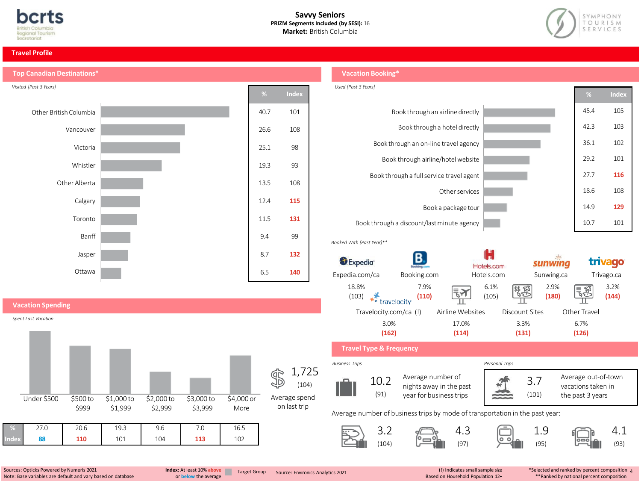



#### **Travel Profile**



# **Vacation Booking\***



Sources: Opticks Powered by Numeris 2021 Note: Base variables are default and vary based on database

**Index 88 110** 101 104 **113** 102

or **below** the average

**Index:** At least 10% **above Index:** Target Group Source: Environics Analytics 2021

(!) Indicates small sample size<br>Based on Household Population 12+

\*Selected and ranked by percent composition <sup>4</sup> \*\*Ranked by national percent composition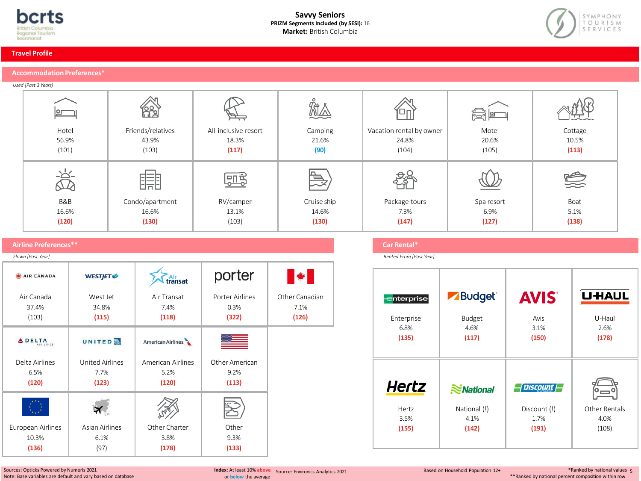



#### **Travel Profile**

# **Accommodation Preferences\***

*Used [Past 3 Years]*

|                          | <u>යින</u>        | $\overrightarrow{a}$ | 尬           | Έπ                       | 浸间         |         |
|--------------------------|-------------------|----------------------|-------------|--------------------------|------------|---------|
| Hotel                    | Friends/relatives | All-inclusive resort | Camping     | Vacation rental by owner | Motel      | Cottage |
| 56.9%                    | 43.9%             | 18.3%                | 21.6%       | 24.8%                    | 20.6%      | 10.5%   |
| (101)                    | (103)             | (117)                | (90)        | (104)                    | (105)      | (113)   |
| $\overline{\mathcal{R}}$ | _ __ _ <br>睛      | <u>मिद्दे</u>        | $\vec{=}$   |                          |            | 受       |
| B&B                      | Condo/apartment   | RV/camper            | Cruise ship | Package tours            | Spa resort | Boat    |
| 16.6%                    | 16.6%             | 13.1%                | 14.6%       | 7.3%                     | 6.9%       | 5.1%    |
| (120)                    | (130)             | (103)                | (130)       | (147)                    | (127)      | (138)   |

# **Airline Preferences\*\***

| Flown [Past Year]          |                              |                         |                 |                |
|----------------------------|------------------------------|-------------------------|-----------------|----------------|
| <b>AIR CANADA</b>          | <b>WESTJET </b> <del>⊅</del> | <u>. Air</u><br>transat | porter          |                |
| Air Canada                 | West Jet                     | Air Transat             | Porter Airlines | Other Canadian |
| 37.4%                      | 34.8%                        | 7.4%                    | 0.3%            | 7.1%           |
| (103)                      | (115)                        | (118)                   | (322)           | (126)          |
| <b>ADELTA</b><br>AIR LINES | <b>UNITED</b>                | American Airlines       |                 |                |
| Delta Airlines             | <b>United Airlines</b>       | American Airlines       | Other American  |                |
| 6.5%                       | 7.7%                         | 5.2%                    | 9.2%            |                |
| (120)                      | (123)                        | (120)                   | (113)           |                |
|                            |                              |                         |                 |                |
| European Airlines          | <b>Asian Airlines</b>        | Other Charter           | Other           |                |
| 10.3%                      | 6.1%                         | 3.8%                    | 9.3%            |                |
| (136)                      | (97)                         | (178)                   | (133)           |                |

# **Car Rental\***

*Rented From [Past Year]*

| enterprise<br>Enterprise<br>6.8%<br>(135) | <b>Budget</b> ®<br>$\blacktriangleright$<br>Budget<br>4.6%<br>(117) | <b>AVIS</b><br>Avis<br>3.1%<br>(150)      | <b>UHAUL</b><br>U-Haul<br>2.6%<br>(178) |
|-------------------------------------------|---------------------------------------------------------------------|-------------------------------------------|-----------------------------------------|
| <b>Hertz</b><br>Hertz<br>3.5%<br>(155)    | $\approx$ National<br>National (!)<br>4.1%<br>(142)                 | Discount<br>Discount (!)<br>1.7%<br>(191) | Other Rentals<br>4.0%<br>(108)          |

Sources: Opticks Powered by Numeris 2021 Note: Base variables are default and vary based on database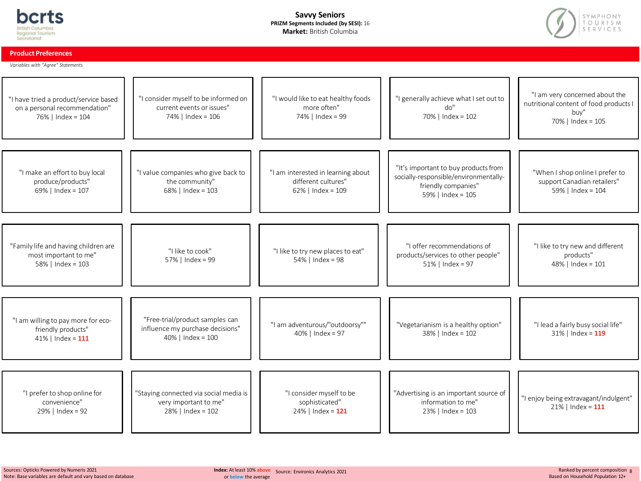

#### **Savvy Seniors PRIZM Segments Included (by SESI):** 16 **Market:** British Columbia



**Product Preferences**

*Variables with "Agree" Statements*

| "I have tried a product/service based<br>on a personal recommendation"<br>76%   Index = 104 | "I consider myself to be informed on<br>current events or issues"<br>74%   Index = 106      | "I would like to eat healthy foods<br>more often"<br>74%   Index = 99             | "I generally achieve what I set out to<br>do''<br>70%   Index = 102                                                       | "I am very concerned about the<br>nutritional content of food products I<br>buy"<br>70%   Index = 105 |
|---------------------------------------------------------------------------------------------|---------------------------------------------------------------------------------------------|-----------------------------------------------------------------------------------|---------------------------------------------------------------------------------------------------------------------------|-------------------------------------------------------------------------------------------------------|
|                                                                                             |                                                                                             |                                                                                   |                                                                                                                           |                                                                                                       |
| "I make an effort to buy local<br>produce/products"<br>69%   Index = 107                    | "I value companies who give back to<br>the community"<br>$68\%$   Index = 103               | "I am interested in learning about<br>different cultures"<br>$62\%$   Index = 109 | "It's important to buy products from<br>socially-responsible/environmentally-<br>friendly companies"<br>59%   Index = 105 | "When I shop online I prefer to<br>support Canadian retailers"<br>59%   Index = 104                   |
|                                                                                             |                                                                                             |                                                                                   |                                                                                                                           |                                                                                                       |
| "Family life and having children are<br>most important to me"<br>58%   Index = 103          | "I like to cook"<br>57%   Index = 99                                                        | "I like to try new places to eat"<br>$54\%$   Index = 98                          | "I offer recommendations of<br>products/services to other people"<br>$51\%$   Index = 97                                  | "I like to try new and different<br>products"<br>48%   Index = 101                                    |
|                                                                                             |                                                                                             |                                                                                   |                                                                                                                           |                                                                                                       |
| "I am willing to pay more for eco-<br>friendly products"<br>41%   Index = $111$             | "Free-trial/product samples can<br>influence my purchase decisions"<br>$40\%$   Index = 100 | "I am adventurous/"outdoorsy""<br>$40\%$   Index = 97                             | "Vegetarianism is a healthy option"<br>38%   Index = 102                                                                  | "I lead a fairly busy social life"<br>$31\%$   Index = 119                                            |
|                                                                                             |                                                                                             |                                                                                   |                                                                                                                           |                                                                                                       |
| "I prefer to shop online for<br>convenience"<br>29%   Index = 92                            | "Staying connected via social media is<br>very important to me"<br>28%   Index = 102        | "I consider myself to be<br>sophisticated"<br>$24\%$   Index = 121                | "Advertising is an important source of<br>information to me"<br>23%   Index = 103                                         | "I enjoy being extravagant/indulgent"<br>$21\%$   Index = 111                                         |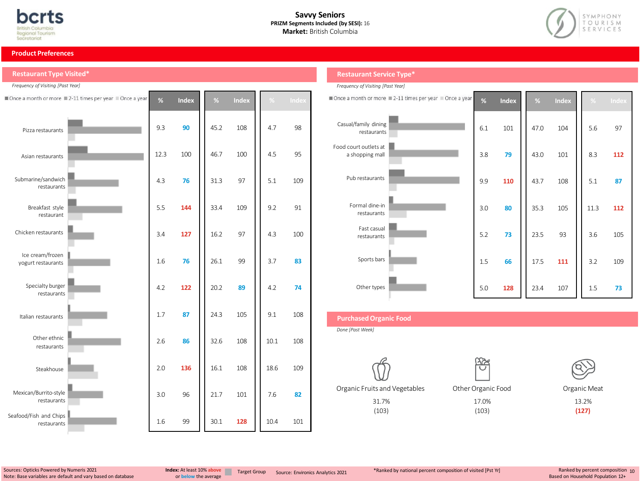



#### **Product Preferences**

**Restaurant Type Visited\***

| Frequency of Visiting [Past Year]      |                                                      |      |              |      |              |      |       |
|----------------------------------------|------------------------------------------------------|------|--------------|------|--------------|------|-------|
|                                        | Once a month or more 2-11 times per year Once a year | %    | <b>Index</b> | %    | <b>Index</b> | $\%$ | Index |
| Pizza restaurants                      |                                                      | 9.3  | 90           | 45.2 | 108          | 4.7  | 98    |
| Asian restaurants                      |                                                      | 12.3 | 100          | 46.7 | 100          | 4.5  | 95    |
| Submarine/sandwich<br>restaurants      |                                                      | 4.3  | 76           | 31.3 | 97           | 5.1  | 109   |
| Breakfast style<br>restaurant          |                                                      | 5.5  | 144          | 33.4 | 109          | 9.2  | 91    |
| Chicken restaurants                    |                                                      | 3.4  | 127          | 16.2 | 97           | 4.3  | 100   |
| Ice cream/frozen<br>yogurt restaurants |                                                      | 1.6  | 76           | 26.1 | 99           | 3.7  | 83    |
| Specialty burger<br>restaurants        |                                                      | 4.2  | 122          | 20.2 | 89           | 4.2  | 74    |
| Italian restaurants                    |                                                      | 1.7  | 87           | 24.3 | 105          | 9.1  | 108   |
| Other ethnic<br>restaurants            |                                                      | 2.6  | 86           | 32.6 | 108          | 10.1 | 108   |
| Steakhouse                             |                                                      | 2.0  | 136          | 16.1 | 108          | 18.6 | 109   |
| Mexican/Burrito-style<br>restaurants   |                                                      | 3.0  | 96           | 21.7 | 101          | 7.6  | 82    |
| Seafood/Fish and Chips<br>restaurants  |                                                      | 1.6  | 99           | 30.1 | 128          | 10.4 | 101   |

# **Restaurant Service Type\***

| Frequency of Visiting [Past Year]        |                                                      |     |              |      |       |      |       |
|------------------------------------------|------------------------------------------------------|-----|--------------|------|-------|------|-------|
|                                          | Once a month or more 2-11 times per year Once a year | %   | <b>Index</b> | %    | Index | $\%$ | Index |
| Casual/family dining<br>restaurants      |                                                      | 6.1 | 101          | 47.0 | 104   | 5.6  | 97    |
| Food court outlets at<br>a shopping mall |                                                      | 3.8 | 79           | 43.0 | 101   | 8.3  | 112   |
| Pub restaurants                          |                                                      | 9.9 | 110          | 43.7 | 108   | 5.1  | 87    |
| Formal dine-in<br>restaurants            |                                                      | 3.0 | 80           | 35.3 | 105   | 11.3 | 112   |
| Fast casual<br>restaurants               |                                                      | 5.2 | 73           | 23.5 | 93    | 3.6  | 105   |
| Sports bars                              |                                                      | 1.5 | 66           | 17.5 | 111   | 3.2  | 109   |
| Other types                              |                                                      | 5.0 | 128          | 23.4 | 107   | 1.5  | 73    |

# **PurchasedOrganic Food**

*Done [Past Week]*



(103)



17.0% (103)

Organic Meat

13.2% **(127)**

Sources: Opticks Powered by Numeris 2021 Note: Base variables are default and vary based on database

or **below** the average

\*Ranked by national percent composition of visited [Pst Yr] Target Group Source: Environics Analytics <sup>2021</sup> **Index:** At least 10% **above**